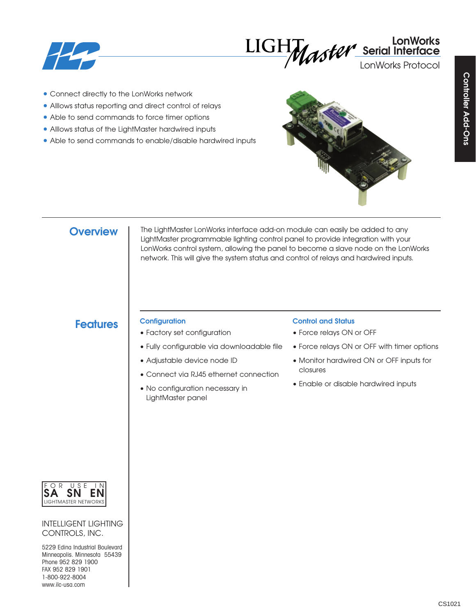



LonWorks Protocol

- Connect directly to the LonWorks network
- Alllows status reporting and direct control of relays
- Able to send commands to force timer options
- Alllows status of the LightMaster hardwired inputs
- Able to send commands to enable/disable hardwired inputs



## **Overview**

The LightMaster LonWorks interface add-on module can easily be added to any LightMaster programmable lighting control panel to provide integration with your LonWorks control system, allowing the panel to become a slave node on the LonWorks network. This will give the system status and control of relays and hardwired inputs.

# **Features Configuration**

- Factory set configuration
- Fully configurable via downloadable file
- Adjustable device node ID
- Connect via RJ45 ethernet connection
- No configuration necessary in LightMaster panel

### **Control and Status**

- Force relays ON or OFF
- Force relays ON or OFF with timer options
- Monitor hardwired ON or OFF inputs for closures
- Enable or disable hardwired inputs



INTELLIGENT LIGHTING CONTROLS, INC.

5229 Edina Industrial Boulevard Minneapolis. Minnesota 55439 Phone 952 829 1900 FAX 952 829 1901 1-800-922-8004 www.ilc-usa.com